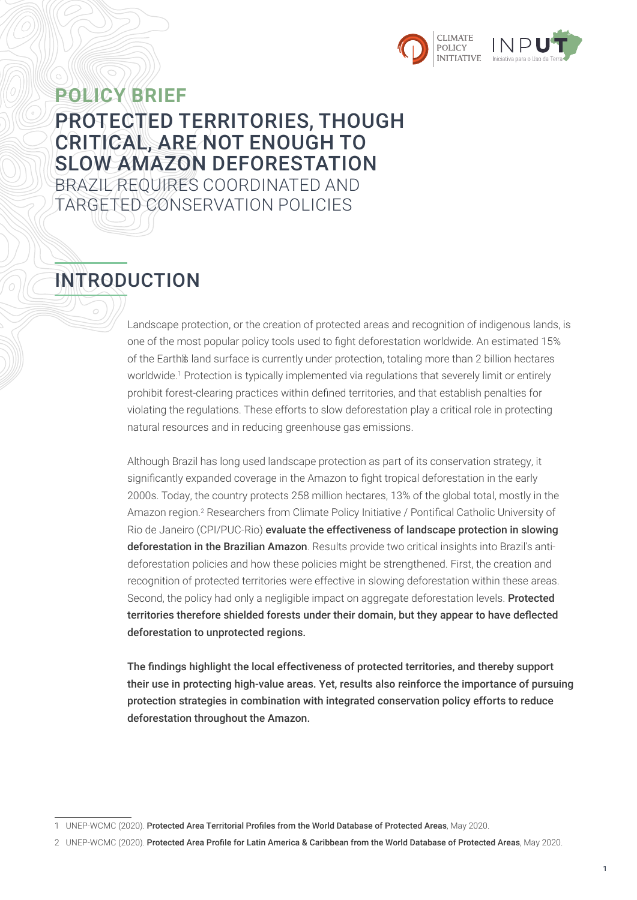



### **POLICY BRIEF** PROTECTED TERRITORIES, THOUGH CRITICAL, ARE NOT ENOUGH TO SLOW AMAZON DEFORESTATION BRAZIL REQUIRES COORDINATED AND TARGETED CONSERVATION POLICIES

# INTRODUCTION

Landscape protection, or the creation of protected areas and recognition of indigenous lands, is one of the most popular policy tools used to fight deforestation worldwide. An estimated 15% of the Earth's land surface is currently under protection, totaling more than 2 billion hectares worldwide.<sup>1</sup> Protection is typically implemented via regulations that severely limit or entirely prohibit forest-clearing practices within defined territories, and that establish penalties for violating the regulations. These efforts to slow deforestation play a critical role in protecting natural resources and in reducing greenhouse gas emissions.

Although Brazil has long used landscape protection as part of its conservation strategy, it significantly expanded coverage in the Amazon to fight tropical deforestation in the early 2000s. Today, the country protects 258 million hectares, 13% of the global total, mostly in the Amazon region.<sup>2</sup> Researchers from Climate Policy Initiative / Pontifical Catholic University of Rio de Janeiro (CPI/PUC-Rio) evaluate the effectiveness of landscape protection in slowing deforestation in the Brazilian Amazon. Results provide two critical insights into Brazil's antideforestation policies and how these policies might be strengthened. First, the creation and recognition of protected territories were effective in slowing deforestation within these areas. Second, the policy had only a negligible impact on aggregate deforestation levels. Protected territories therefore shielded forests under their domain, but they appear to have deflected deforestation to unprotected regions.

The findings highlight the local effectiveness of protected territories, and thereby support their use in protecting high-value areas. Yet, results also reinforce the importance of pursuing protection strategies in combination with integrated conservation policy efforts to reduce deforestation throughout the Amazon.

<sup>1</sup> UNEP-WCMC (2020). Protected Area Territorial Profiles from the World Database of Protected Areas, May 2020.

<sup>2</sup> UNEP-WCMC (2020). Protected Area Profile for Latin America & Caribbean from the World Database of Protected Areas, May 2020.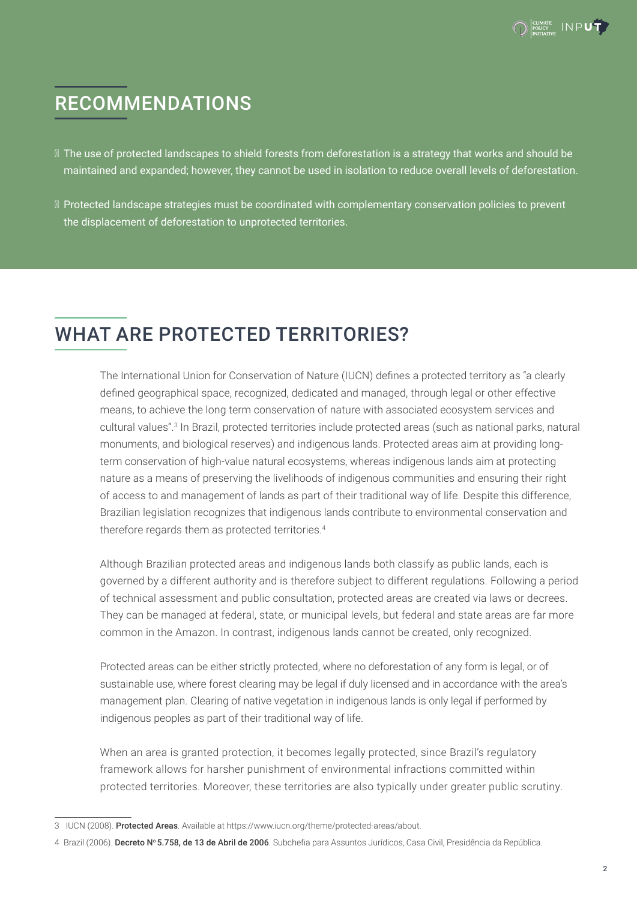

# RECOMMENDATIONS

- The use of protected landscapes to shield forests from deforestation is a strategy that works and should be maintained and expanded; however, they cannot be used in isolation to reduce overall levels of deforestation.
- Protected landscape strategies must be coordinated with complementary conservation policies to prevent the displacement of deforestation to unprotected territories.

### WHAT ARE PROTECTED TERRITORIES?

The International Union for Conservation of Nature (IUCN) defines a protected territory as "a clearly defined geographical space, recognized, dedicated and managed, through legal or other effective means, to achieve the long term conservation of nature with associated ecosystem services and cultural values".3 In Brazil, protected territories include protected areas (such as national parks, natural monuments, and biological reserves) and indigenous lands. Protected areas aim at providing longterm conservation of high-value natural ecosystems, whereas indigenous lands aim at protecting nature as a means of preserving the livelihoods of indigenous communities and ensuring their right of access to and management of lands as part of their traditional way of life. Despite this difference, Brazilian legislation recognizes that indigenous lands contribute to environmental conservation and therefore regards them as protected territories.<sup>4</sup>

Although Brazilian protected areas and indigenous lands both classify as public lands, each is governed by a different authority and is therefore subject to different regulations. Following a period of technical assessment and public consultation, protected areas are created via laws or decrees. They can be managed at federal, state, or municipal levels, but federal and state areas are far more common in the Amazon. In contrast, indigenous lands cannot be created, only recognized.

Protected areas can be either strictly protected, where no deforestation of any form is legal, or of sustainable use, where forest clearing may be legal if duly licensed and in accordance with the area's management plan. Clearing of native vegetation in indigenous lands is only legal if performed by indigenous peoples as part of their traditional way of life.

When an area is granted protection, it becomes legally protected, since Brazil's regulatory framework allows for harsher punishment of environmental infractions committed within protected territories. Moreover, these territories are also typically under greater public scrutiny.

<sup>3</sup> IUCN (2008). Protected Areas. Available at <https://www.iucn.org/theme/protected-areas/about>.

<sup>4</sup> Brazil (2006). Decreto Nº 5.758, de 13 de Abril de 2006. Subchefia para Assuntos Jurídicos, Casa Civil, Presidência da República.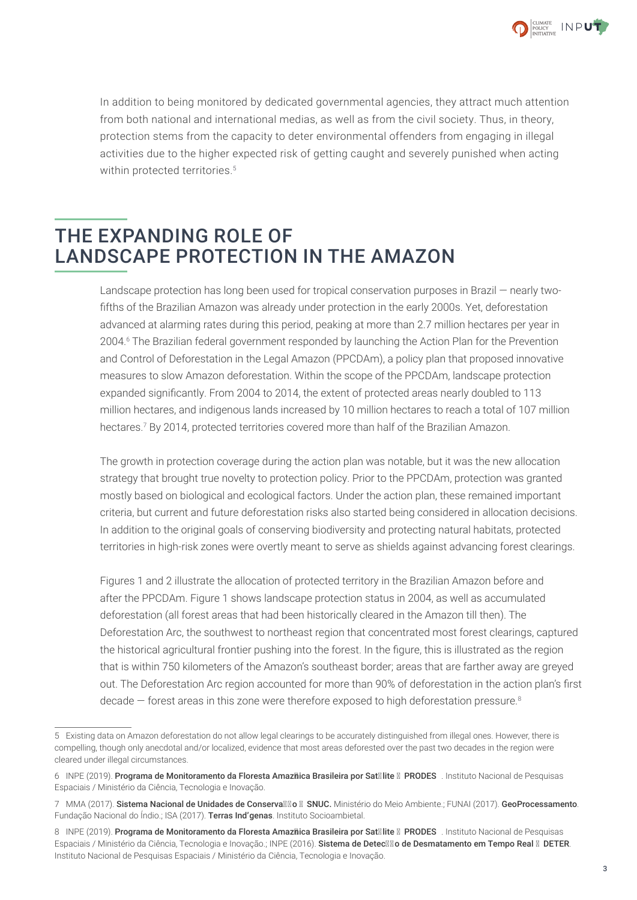

In addition to being monitored by dedicated governmental agencies, they attract much attention from both national and international medias, as well as from the civil society. Thus, in theory, protection stems from the capacity to deter environmental offenders from engaging in illegal activities due to the higher expected risk of getting caught and severely punished when acting within protected territories.<sup>5</sup>

### THE EXPANDING ROLE OF LANDSCAPE PROTECTION IN THE AMAZON

Landscape protection has long been used for tropical conservation purposes in Brazil — nearly twofifths of the Brazilian Amazon was already under protection in the early 2000s. Yet, deforestation advanced at alarming rates during this period, peaking at more than 2.7 million hectares per year in 2004.6 The Brazilian federal government responded by launching the Action Plan for the Prevention and Control of Deforestation in the Legal Amazon (PPCDAm), a policy plan that proposed innovative measures to slow Amazon deforestation. Within the scope of the PPCDAm, landscape protection expanded significantly. From 2004 to 2014, the extent of protected areas nearly doubled to 113 million hectares, and indigenous lands increased by 10 million hectares to reach a total of 107 million hectares.7 By 2014, protected territories covered more than half of the Brazilian Amazon.

The growth in protection coverage during the action plan was notable, but it was the new allocation strategy that brought true novelty to protection policy. Prior to the PPCDAm, protection was granted mostly based on biological and ecological factors. Under the action plan, these remained important criteria, but current and future deforestation risks also started being considered in allocation decisions. In addition to the original goals of conserving biodiversity and protecting natural habitats, protected territories in high-risk zones were overtly meant to serve as shields against advancing forest clearings.

Figures 1 and 2 illustrate the allocation of protected territory in the Brazilian Amazon before and after the PPCDAm. Figure 1 shows landscape protection status in 2004, as well as accumulated deforestation (all forest areas that had been historically cleared in the Amazon till then). The Deforestation Arc, the southwest to northeast region that concentrated most forest clearings, captured the historical agricultural frontier pushing into the forest. In the figure, this is illustrated as the region that is within 750 kilometers of the Amazon's southeast border; areas that are farther away are greyed out. The Deforestation Arc region accounted for more than 90% of deforestation in the action plan's first decade – forest areas in this zone were therefore exposed to high deforestation pressure.<sup>8</sup>

<sup>5</sup> Existing data on Amazon deforestation do not allow legal clearings to be accurately distinguished from illegal ones. However, there is compelling, though only anecdotal and/or localized, evidence that most areas deforested over the past two decades in the region were cleared under illegal circumstances.

<sup>6</sup> INPE (2019). Programa de Monitoramento da Floresta Amazôica Brasileira por Satélite – PRODES . Instituto Nacional de Pesquisas Espaciais / Ministério da Ciência, Tecnologia e Inovação.

<sup>7</sup> MMA (2017). Sistema Nacional de Unidades de Conservação – SNUC. Ministério do Meio Ambiente.; FUNAI (2017). GeoProcessamento. Fundação Nacional do Índio.; ISA (2017). Terras Ind'genas. Instituto Socioambietal.

<sup>8</sup> INPE (2019). Programa de Monitoramento da Floresta Amazôica Brasileira por Satélite – PRODES . Instituto Nacional de Pesquisas Espaciais / Ministério da Ciência, Tecnologia e Inovação.; INPE (2016). Sistema de Detecção de Desmatamento em Tempo Real - DETER. Instituto Nacional de Pesquisas Espaciais / Ministério da Ciência, Tecnologia e Inovação.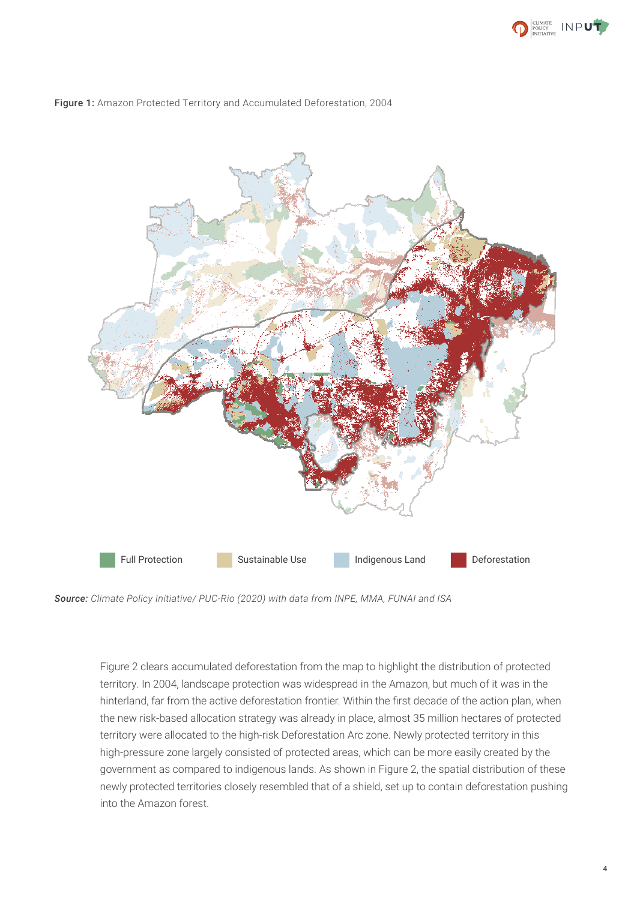





*Source: Climate Policy Initiative/ PUC-Rio (2020) with data from INPE, MMA, FUNAI and ISA*

Figure 2 clears accumulated deforestation from the map to highlight the distribution of protected territory. In 2004, landscape protection was widespread in the Amazon, but much of it was in the hinterland, far from the active deforestation frontier. Within the first decade of the action plan, when the new risk-based allocation strategy was already in place, almost 35 million hectares of protected territory were allocated to the high-risk Deforestation Arc zone. Newly protected territory in this high-pressure zone largely consisted of protected areas, which can be more easily created by the government as compared to indigenous lands. As shown in Figure 2, the spatial distribution of these newly protected territories closely resembled that of a shield, set up to contain deforestation pushing into the Amazon forest.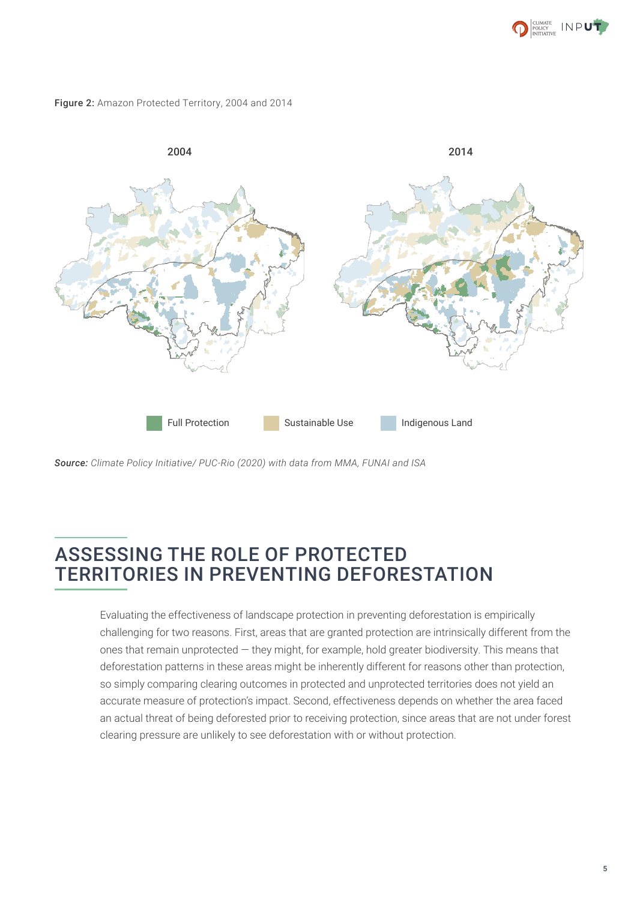

Figure 2: Amazon Protected Territory, 2004 and 2014



*Source: Climate Policy Initiative/ PUC-Rio (2020) with data from MMA, FUNAI and ISA*

### ASSESSING THE ROLE OF PROTECTED TERRITORIES IN PREVENTING DEFORESTATION

Evaluating the effectiveness of landscape protection in preventing deforestation is empirically challenging for two reasons. First, areas that are granted protection are intrinsically different from the ones that remain unprotected — they might, for example, hold greater biodiversity. This means that deforestation patterns in these areas might be inherently different for reasons other than protection, so simply comparing clearing outcomes in protected and unprotected territories does not yield an accurate measure of protection's impact. Second, effectiveness depends on whether the area faced an actual threat of being deforested prior to receiving protection, since areas that are not under forest clearing pressure are unlikely to see deforestation with or without protection.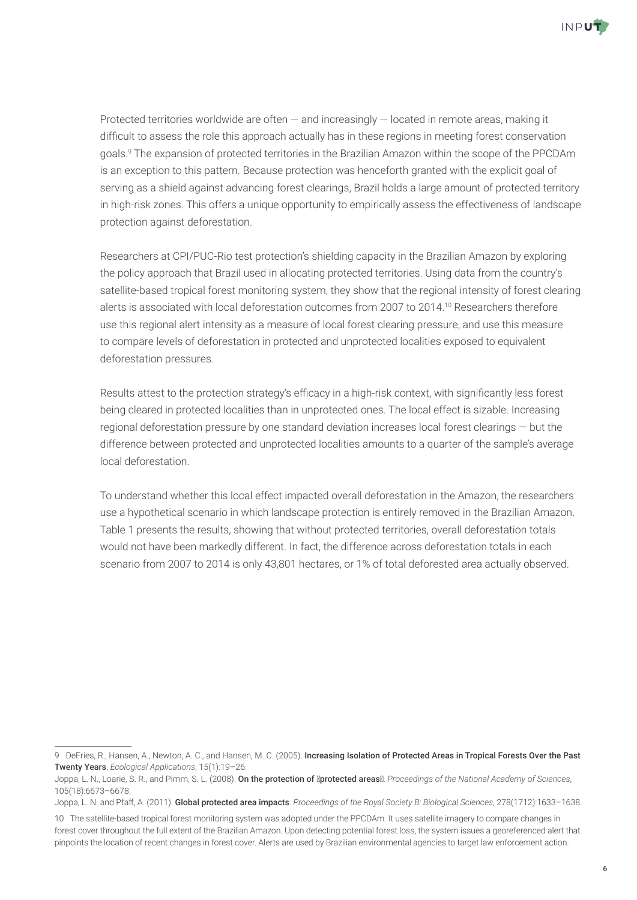

Protected territories worldwide are often — and increasingly — located in remote areas, making it difficult to assess the role this approach actually has in these regions in meeting forest conservation goals.9 The expansion of protected territories in the Brazilian Amazon within the scope of the PPCDAm is an exception to this pattern. Because protection was henceforth granted with the explicit goal of serving as a shield against advancing forest clearings, Brazil holds a large amount of protected territory in high-risk zones. This offers a unique opportunity to empirically assess the effectiveness of landscape protection against deforestation.

Researchers at CPI/PUC-Rio test protection's shielding capacity in the Brazilian Amazon by exploring the policy approach that Brazil used in allocating protected territories. Using data from the country's satellite-based tropical forest monitoring system, they show that the regional intensity of forest clearing alerts is associated with local deforestation outcomes from 2007 to 2014.<sup>10</sup> Researchers therefore use this regional alert intensity as a measure of local forest clearing pressure, and use this measure to compare levels of deforestation in protected and unprotected localities exposed to equivalent deforestation pressures.

Results attest to the protection strategy's efficacy in a high-risk context, with significantly less forest being cleared in protected localities than in unprotected ones. The local effect is sizable. Increasing regional deforestation pressure by one standard deviation increases local forest clearings ― but the difference between protected and unprotected localities amounts to a quarter of the sample's average local deforestation.

To understand whether this local effect impacted overall deforestation in the Amazon, the researchers use a hypothetical scenario in which landscape protection is entirely removed in the Brazilian Amazon. Table 1 presents the results, showing that without protected territories, overall deforestation totals would not have been markedly different. In fact, the difference across deforestation totals in each scenario from 2007 to 2014 is only 43,801 hectares, or 1% of total deforested area actually observed.

<sup>9</sup> DeFries, R., Hansen, A., Newton, A. C., and Hansen, M. C. (2005). Increasing Isolation of Protected Areas in Tropical Forests Over the Past Twenty Years. *Ecological Applications*, 15(1):19–26.

Joppa, L. N., Loarie, S. R., and Pimm, S. L. (2008). On the protection of "protected areas". *Proceedings of the National Academy of Sciences*, 105(18):6673–6678.

Joppa, L. N. and Pfaff, A. (2011). Global protected area impacts. *Proceedings of the Royal Society B: Biological Sciences*, 278(1712):1633–1638.

<sup>10</sup> The satellite-based tropical forest monitoring system was adopted under the PPCDAm. It uses satellite imagery to compare changes in forest cover throughout the full extent of the Brazilian Amazon. Upon detecting potential forest loss, the system issues a georeferenced alert that pinpoints the location of recent changes in forest cover. Alerts are used by Brazilian environmental agencies to target law enforcement action.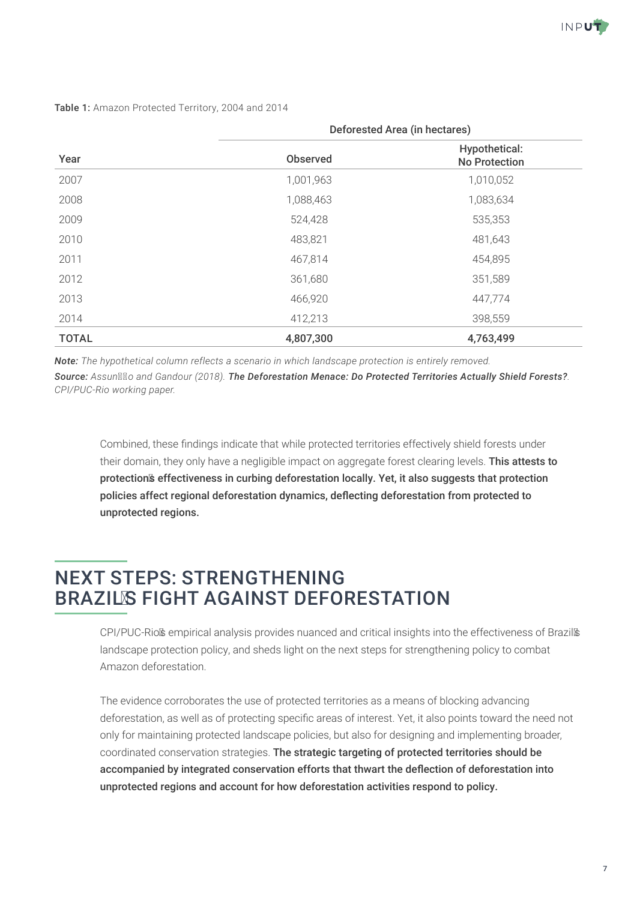

#### Table 1: Amazon Protected Territory, 2004 and 2014

| Year         | Deforested Area (in hectares) |                                       |
|--------------|-------------------------------|---------------------------------------|
|              | <b>Observed</b>               | Hypothetical:<br><b>No Protection</b> |
| 2007         | 1,001,963                     | 1,010,052                             |
| 2008         | 1,088,463                     | 1,083,634                             |
| 2009         | 524,428                       | 535,353                               |
| 2010         | 483,821                       | 481,643                               |
| 2011         | 467,814                       | 454,895                               |
| 2012         | 361,680                       | 351,589                               |
| 2013         | 466,920                       | 447,774                               |
| 2014         | 412,213                       | 398,559                               |
| <b>TOTAL</b> | 4,807,300                     | 4,763,499                             |

*Note: The hypothetical column reflects a scenario in which landscape protection is entirely removed.*

*Source: Assunção and Gandour (2018). The Deforestation Menace: Do Protected Territories Actually Shield Forests?. CPI/PUC-Rio working paper.* 

Combined, these findings indicate that while protected territories effectively shield forests under their domain, they only have a negligible impact on aggregate forest clearing levels. This attests to protection's effectiveness in curbing deforestation locally. Yet, it also suggests that protection policies affect regional deforestation dynamics, deflecting deforestation from protected to unprotected regions.

### NEXT STEPS: STRENGTHENING BRAZIL'S FIGHT AGAINST DEFORESTATION

CPI/PUC-Rio's empirical analysis provides nuanced and critical insights into the effectiveness of Brazil's landscape protection policy, and sheds light on the next steps for strengthening policy to combat Amazon deforestation.

The evidence corroborates the use of protected territories as a means of blocking advancing deforestation, as well as of protecting specific areas of interest. Yet, it also points toward the need not only for maintaining protected landscape policies, but also for designing and implementing broader, coordinated conservation strategies. The strategic targeting of protected territories should be accompanied by integrated conservation efforts that thwart the deflection of deforestation into unprotected regions and account for how deforestation activities respond to policy.